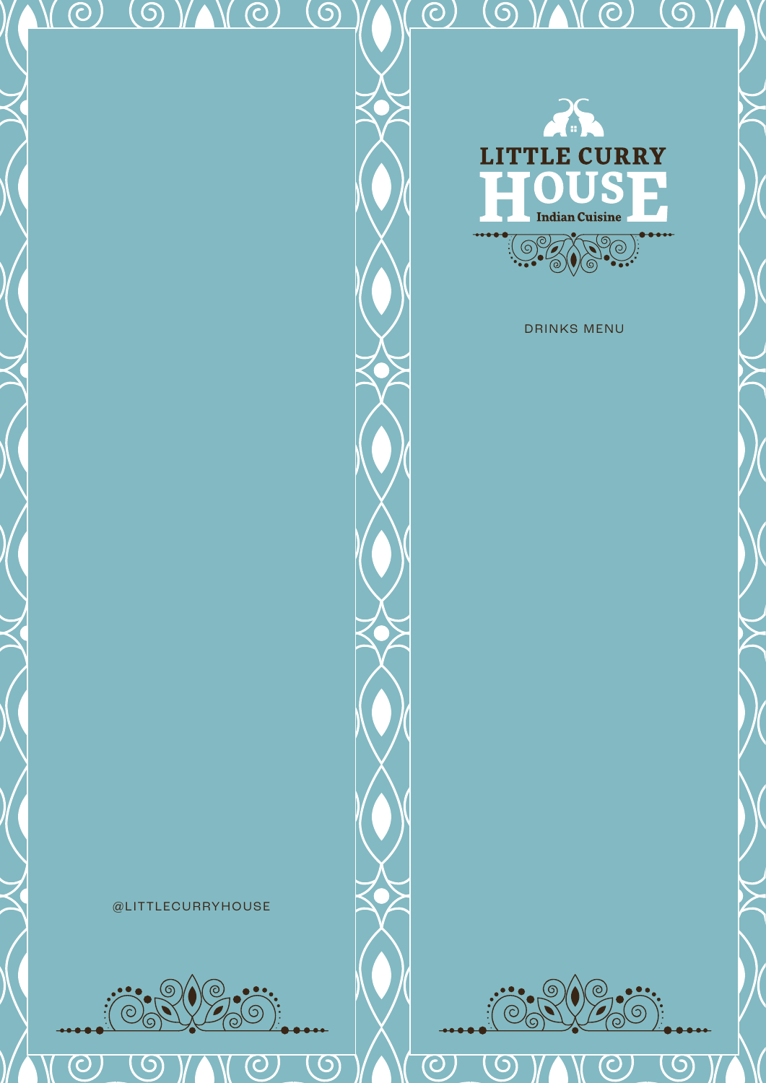